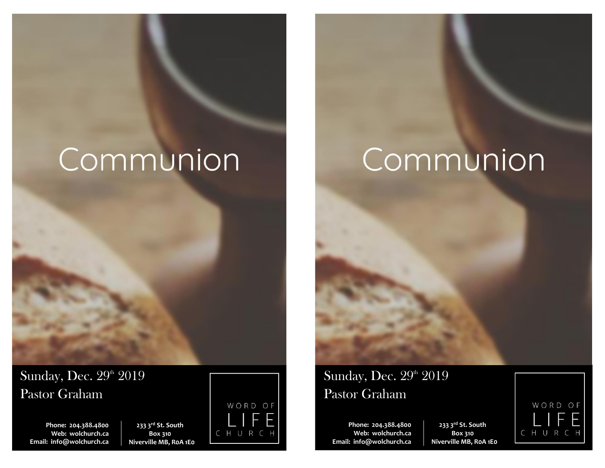# Communion

**Phone: 204.388.4800 Web: wolchurch.ca Email: [info@wolchurch.ca](mailto:info@wolchurch.ca)**

Pastor Graham

Sunday, Dec. 29th 2019

**233 3rd St. South Box 310 Niverville MB, R0A 1E0**



# Communion

Sunday, Dec. 29th 2019 Pastor Graham

**Phone: 204.388.4800 Web: wolchurch.ca Email: [info@wolchurch.ca](mailto:info@wolchurch.ca)**

**233 3rd St. South Box 310 Niverville MB, R0A 1E0**